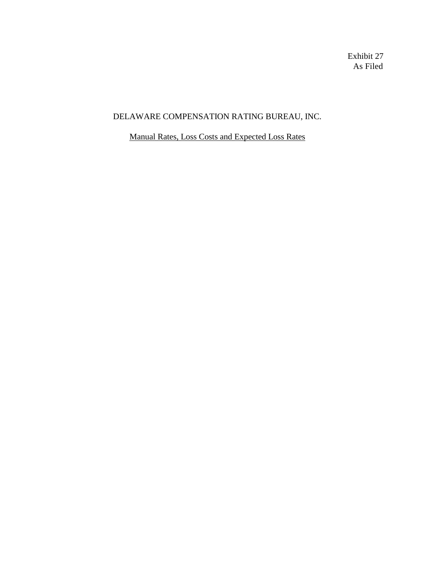Exhibit 27 As Filed

## DELAWARE COMPENSATION RATING BUREAU, INC.

Manual Rates, Loss Costs and Expected Loss Rates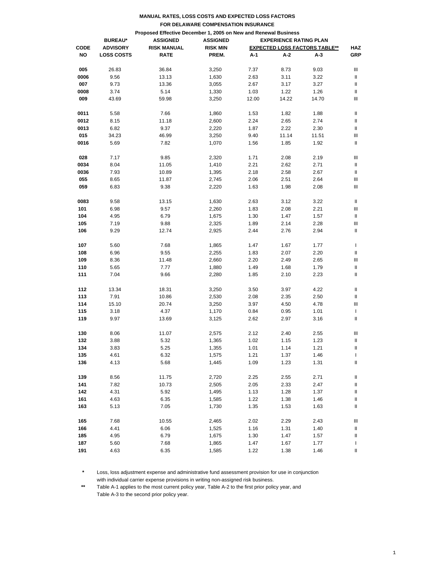|                                                                 |                   |                    | FOR DELAWARE COMPENSATION INSURANCE              |       |       |                                      |              |  |  |
|-----------------------------------------------------------------|-------------------|--------------------|--------------------------------------------------|-------|-------|--------------------------------------|--------------|--|--|
| Proposed Effective December 1, 2005 on New and Renewal Business |                   |                    |                                                  |       |       |                                      |              |  |  |
|                                                                 | <b>BUREAU*</b>    | <b>ASSIGNED</b>    | <b>ASSIGNED</b><br><b>EXPERIENCE RATING PLAN</b> |       |       |                                      |              |  |  |
| <b>CODE</b>                                                     | <b>ADVISORY</b>   | <b>RISK MANUAL</b> | <b>RISK MIN</b>                                  |       |       | <b>EXPECTED LOSS FACTORS TABLE**</b> | <b>HAZ</b>   |  |  |
| NO                                                              | <b>LOSS COSTS</b> | <b>RATE</b>        | PREM.                                            | A-1   | A-2   | A-3                                  | <b>GRP</b>   |  |  |
| 005                                                             | 26.83             | 36.84              | 3,250                                            | 7.37  | 8.73  | 9.03                                 | Ш            |  |  |
| 0006                                                            | 9.56              | 13.13              | 1,630                                            | 2.63  | 3.11  | 3.22                                 | Ш            |  |  |
| 007                                                             | 9.73              | 13.36              | 3,055                                            | 2.67  | 3.17  | 3.27                                 | Ш            |  |  |
| 0008                                                            | 3.74              | 5.14               | 1,330                                            | 1.03  | 1.22  | 1.26                                 | Ш            |  |  |
| 009                                                             | 43.69             | 59.98              | 3,250                                            | 12.00 | 14.22 | 14.70                                | Ш            |  |  |
| 0011                                                            | 5.58              | 7.66               | 1,860                                            | 1.53  | 1.82  | 1.88                                 | Ш            |  |  |
| 0012                                                            | 8.15              | 11.18              | 2,600                                            | 2.24  | 2.65  | 2.74                                 | Ш            |  |  |
| 0013                                                            | 6.82              | 9.37               | 2,220                                            | 1.87  | 2.22  | 2.30                                 | Ш            |  |  |
| 015                                                             | 34.23             | 46.99              | 3,250                                            | 9.40  | 11.14 | 11.51                                | Ш            |  |  |
| 0016                                                            | 5.69              | 7.82               | 1,070                                            | 1.56  | 1.85  | 1.92                                 | Ш            |  |  |
| 028                                                             | 7.17              | 9.85               | 2,320                                            | 1.71  | 2.08  | 2.19                                 | Ш            |  |  |
| 0034                                                            | 8.04              | 11.05              | 1,410                                            | 2.21  | 2.62  | 2.71                                 | Ш            |  |  |
| 0036                                                            | 7.93              | 10.89              | 1,395                                            | 2.18  | 2.58  | 2.67                                 | Ш            |  |  |
| 055                                                             | 8.65              | 11.87              | 2,745                                            | 2.06  | 2.51  | 2.64                                 | Ш            |  |  |
| 059                                                             | 6.83              | 9.38               | 2,220                                            | 1.63  | 1.98  | 2.08                                 | Ш            |  |  |
| 0083                                                            | 9.58              | 13.15              | 1,630                                            | 2.63  | 3.12  | 3.22                                 | Ш            |  |  |
| 101                                                             | 6.98              | 9.57               | 2,260                                            | 1.83  | 2.08  | 2.21                                 | Ш            |  |  |
| 104                                                             | 4.95              | 6.79               | 1,675                                            | 1.30  | 1.47  | 1.57                                 | Ш            |  |  |
| 105                                                             | 7.19              | 9.88               | 2,325                                            | 1.89  | 2.14  | 2.28                                 | Ш            |  |  |
| 106                                                             | 9.29              | 12.74              | 2,925                                            | 2.44  | 2.76  | 2.94                                 | Ш            |  |  |
| 107                                                             | 5.60              | 7.68               | 1,865                                            | 1.47  | 1.67  | 1.77                                 | J.           |  |  |
| 108                                                             | 6.96              | 9.55               | 2,255                                            | 1.83  | 2.07  | 2.20                                 | Ш            |  |  |
| 109                                                             | 8.36              | 11.48              | 2,660                                            | 2.20  | 2.49  | 2.65                                 | Ш            |  |  |
| 110                                                             | 5.65              | 7.77               | 1,880                                            | 1.49  | 1.68  | 1.79                                 | Ш            |  |  |
| 111                                                             | 7.04              | 9.66               | 2,280                                            | 1.85  | 2.10  | 2.23                                 | Ш            |  |  |
| 112                                                             | 13.34             | 18.31              | 3,250                                            | 3.50  | 3.97  | 4.22                                 | Ш            |  |  |
| 113                                                             | 7.91              | 10.86              | 2,530                                            | 2.08  | 2.35  | 2.50                                 | Ш            |  |  |
| 114                                                             | 15.10             | 20.74              | 3,250                                            | 3.97  | 4.50  | 4.78                                 | Ш            |  |  |
| 115                                                             | 3.18              | 4.37               | 1,170                                            | 0.84  | 0.95  | 1.01                                 | $\mathbf{I}$ |  |  |
| 119                                                             | 9.97              | 13.69              | 3,125                                            | 2.62  | 2.97  | 3.16                                 | Ш            |  |  |
| 130                                                             | 8.06              | 11.07              | 2,575                                            | 2.12  | 2.40  | 2.55                                 | Ш            |  |  |
| 132                                                             | 3.88              | 5.32               | 1,365                                            | 1.02  | 1.15  | 1.23                                 | Ш            |  |  |
| 134                                                             | 3.83              | 5.25               | 1,355                                            | 1.01  | 1.14  | 1.21                                 | Ш            |  |  |
| 135                                                             | 4.61              | 6.32               | 1,575                                            | 1.21  | 1.37  | 1.46                                 | $\mathbf{I}$ |  |  |
| 136                                                             | 4.13              | 5.68               | 1,445                                            | 1.09  | 1.23  | 1.31                                 | Ш            |  |  |
| 139                                                             | 8.56              | 11.75              | 2,720                                            | 2.25  | 2.55  | 2.71                                 | Ш            |  |  |
| 141                                                             | 7.82              | 10.73              | 2,505                                            | 2.05  | 2.33  | 2.47                                 | Ш            |  |  |
| 142                                                             | 4.31              | 5.92               | 1,495                                            | 1.13  | 1.28  | 1.37                                 | Ш            |  |  |
| 161                                                             | 4.63              | 6.35               | 1,585                                            | 1.22  | 1.38  | 1.46                                 | Ш            |  |  |
| 163                                                             | 5.13              | 7.05               | 1,730                                            | 1.35  | 1.53  | 1.63                                 | Ш            |  |  |
| 165                                                             | 7.68              | 10.55              | 2,465                                            | 2.02  | 2.29  | 2.43                                 | Ш            |  |  |
| 166                                                             | 4.41              | 6.06               | 1,525                                            | 1.16  | 1.31  | 1.40                                 | Ш            |  |  |
| 185                                                             | 4.95              | 6.79               | 1,675                                            | 1.30  | 1.47  | 1.57                                 | Ш            |  |  |
| 187                                                             | 5.60              | 7.68               | 1,865                                            | 1.47  | 1.67  | 1.77                                 | T            |  |  |
| 191                                                             | 4.63              | 6.35               | 1,585                                            | 1.22  | 1.38  | 1.46                                 | Ш            |  |  |

**\*** Loss, loss adjustment expense and administrative fund assessment provision for use in conjunction with individual carrier expense provisions in writing non-assigned risk business.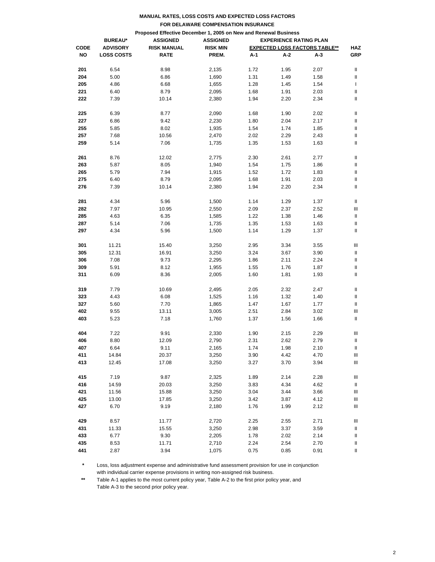|             |                                                                 | MANUAL RATES, LOSS COSTS AND EXPECTED LOSS FACTORS |                                                  |      |      |                                      |            |  |  |
|-------------|-----------------------------------------------------------------|----------------------------------------------------|--------------------------------------------------|------|------|--------------------------------------|------------|--|--|
|             |                                                                 |                                                    | FOR DELAWARE COMPENSATION INSURANCE              |      |      |                                      |            |  |  |
|             | Proposed Effective December 1, 2005 on New and Renewal Business |                                                    |                                                  |      |      |                                      |            |  |  |
|             | <b>BUREAU*</b>                                                  | <b>ASSIGNED</b>                                    | <b>EXPERIENCE RATING PLAN</b><br><b>ASSIGNED</b> |      |      |                                      |            |  |  |
| <b>CODE</b> | <b>ADVISORY</b>                                                 | <b>RISK MANUAL</b>                                 | <b>RISK MIN</b>                                  |      |      | <b>EXPECTED LOSS FACTORS TABLE**</b> | <b>HAZ</b> |  |  |
| NO          | <b>LOSS COSTS</b>                                               | <b>RATE</b>                                        | PREM.                                            | A-1  | A-2  | А-3                                  | <b>GRP</b> |  |  |
|             |                                                                 |                                                    |                                                  |      |      |                                      |            |  |  |
| 201         | 6.54                                                            | 8.98                                               | 2,135                                            | 1.72 | 1.95 | 2.07                                 | Ш          |  |  |
| 204         | 5.00                                                            | 6.86                                               | 1,690                                            | 1.31 | 1.49 | 1.58                                 | Ш          |  |  |
| 205         | 4.86                                                            | 6.68                                               | 1,655                                            | 1.28 | 1.45 | 1.54                                 | L          |  |  |
| 221         | 6.40                                                            | 8.79                                               | 2,095                                            | 1.68 | 1.91 | 2.03                                 | Ш          |  |  |
| 222         | 7.39                                                            | 10.14                                              | 2,380                                            | 1.94 | 2.20 | 2.34                                 | Ш          |  |  |
|             |                                                                 |                                                    |                                                  |      |      |                                      |            |  |  |
| 225         | 6.39                                                            | 8.77                                               | 2,090                                            | 1.68 | 1.90 | 2.02                                 | Ш          |  |  |
| 227         | 6.86                                                            | 9.42                                               | 2,230                                            | 1.80 | 2.04 | 2.17                                 | Ш          |  |  |
| 255         | 5.85                                                            | 8.02                                               | 1,935                                            | 1.54 | 1.74 | 1.85                                 | Ш          |  |  |
| 257         | 7.68                                                            | 10.56                                              | 2,470                                            | 2.02 | 2.29 | 2.43                                 | Ш          |  |  |
| 259         | 5.14                                                            | 7.06                                               | 1,735                                            | 1.35 | 1.53 | 1.63                                 | Ш          |  |  |
|             |                                                                 |                                                    |                                                  |      |      |                                      |            |  |  |
| 261         | 8.76                                                            | 12.02                                              | 2,775                                            | 2.30 | 2.61 | 2.77                                 | Ш          |  |  |
| 263         | 5.87                                                            | 8.05                                               | 1,940                                            | 1.54 | 1.75 | 1.86                                 | Ш          |  |  |
| 265         | 5.79                                                            | 7.94                                               | 1,915                                            | 1.52 | 1.72 | 1.83                                 | Ш          |  |  |
| 275         | 6.40                                                            | 8.79                                               | 2,095                                            | 1.68 | 1.91 | 2.03                                 | Ш          |  |  |
| 276         | 7.39                                                            | 10.14                                              | 2,380                                            | 1.94 | 2.20 | 2.34                                 | Ш          |  |  |
|             |                                                                 |                                                    |                                                  |      |      |                                      |            |  |  |
| 281         | 4.34                                                            | 5.96                                               | 1,500                                            | 1.14 | 1.29 | 1.37                                 | Ш          |  |  |
| 282         | 7.97                                                            | 10.95                                              | 2,550                                            | 2.09 | 2.37 | 2.52                                 | Ш          |  |  |
| 285         | 4.63                                                            | 6.35                                               | 1,585                                            | 1.22 | 1.38 | 1.46                                 | Ш          |  |  |
| 287         | 5.14                                                            | 7.06                                               | 1,735                                            | 1.35 | 1.53 | 1.63                                 | Ш          |  |  |
| 297         | 4.34                                                            | 5.96                                               | 1,500                                            | 1.14 | 1.29 | 1.37                                 | Ш          |  |  |
|             |                                                                 |                                                    |                                                  |      |      |                                      |            |  |  |
| 301         | 11.21                                                           | 15.40                                              | 3,250                                            | 2.95 | 3.34 | 3.55                                 | Ш          |  |  |
| 305         | 12.31                                                           | 16.91                                              | 3,250                                            | 3.24 | 3.67 | 3.90                                 | Ш          |  |  |
| 306         | 7.08                                                            | 9.73                                               | 2,295                                            | 1.86 | 2.11 | 2.24                                 | Ш          |  |  |
| 309         | 5.91                                                            | 8.12                                               | 1,955                                            | 1.55 | 1.76 | 1.87                                 | Ш          |  |  |
| 311         | 6.09                                                            | 8.36                                               | 2,005                                            | 1.60 | 1.81 | 1.93                                 | Ш          |  |  |
|             |                                                                 |                                                    |                                                  |      |      |                                      |            |  |  |
| 319         | 7.79                                                            | 10.69                                              | 2,495                                            | 2.05 | 2.32 | 2.47                                 | Ш          |  |  |
| 323         | 4.43                                                            | 6.08                                               | 1,525                                            | 1.16 | 1.32 | 1.40                                 | Ш          |  |  |
| 327         | 5.60                                                            | 7.70                                               | 1,865                                            | 1.47 | 1.67 | 1.77                                 | Ш          |  |  |
| 402         | 9.55                                                            | 13.11                                              | 3,005                                            | 2.51 | 2.84 | 3.02                                 | Ш          |  |  |
| 403         | 5.23                                                            | 7.18                                               | 1,760                                            | 1.37 | 1.56 | 1.66                                 | Ш          |  |  |
|             |                                                                 |                                                    |                                                  |      |      |                                      |            |  |  |
| 404         | 7.22                                                            | 9.91                                               | 2,330                                            | 1.90 | 2.15 | 2.29                                 | Ш          |  |  |
| 406         | 8.80                                                            | 12.09                                              | 2,790                                            | 2.31 | 2.62 | 2.79                                 | Ш          |  |  |
| 407         | 6.64                                                            | 9.11                                               | 2,165                                            | 1.74 | 1.98 | 2.10                                 | Ш          |  |  |
| 411         | 14.84                                                           | 20.37                                              | 3,250                                            | 3.90 | 4.42 | 4.70                                 | Ш          |  |  |
| 413         | 12.45                                                           | 17.08                                              | 3,250                                            | 3.27 | 3.70 | 3.94                                 | Ш          |  |  |
|             |                                                                 |                                                    |                                                  |      |      |                                      |            |  |  |
| 415         | 7.19                                                            | 9.87                                               | 2,325                                            | 1.89 | 2.14 | 2.28                                 | Ш          |  |  |
| 416         | 14.59                                                           | 20.03                                              | 3,250                                            | 3.83 | 4.34 | 4.62                                 | Ш          |  |  |
| 421         | 11.56                                                           | 15.88                                              | 3,250                                            | 3.04 | 3.44 | 3.66                                 | Ш          |  |  |
| 425         | 13.00                                                           | 17.85                                              | 3,250                                            | 3.42 | 3.87 | 4.12                                 | Ш          |  |  |
| 427         | 6.70                                                            | 9.19                                               | 2,180                                            | 1.76 | 1.99 | 2.12                                 | Ш          |  |  |
|             |                                                                 |                                                    |                                                  |      |      |                                      |            |  |  |
| 429         | 8.57                                                            | 11.77                                              | 2,720                                            | 2.25 | 2.55 | 2.71                                 | Ш          |  |  |
| 431         | 11.33                                                           | 15.55                                              | 3,250                                            | 2.98 | 3.37 | 3.59                                 | Ш          |  |  |
| 433         | 6.77                                                            | 9.30                                               | 2,205                                            | 1.78 | 2.02 | 2.14                                 | Ш          |  |  |
| 435         | 8.53                                                            | 11.71                                              | 2,710                                            | 2.24 | 2.54 | 2.70                                 | Ш          |  |  |
| 441         | 2.87                                                            | 3.94                                               | 1,075                                            | 0.75 | 0.85 | 0.91                                 | Ш          |  |  |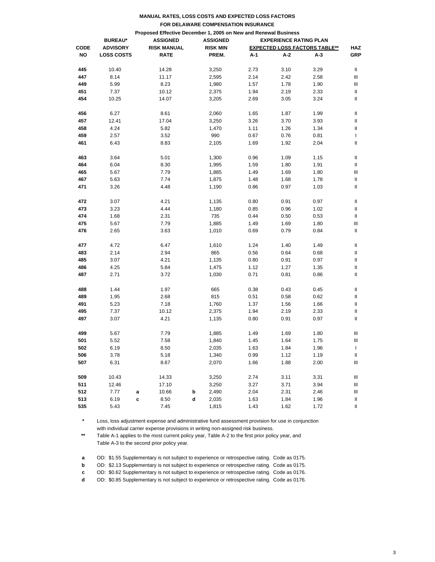|             |                   |                                                                                    |                 | FOR DELAWARE COMPENSATION INSURANCE |                               |                                      |            |
|-------------|-------------------|------------------------------------------------------------------------------------|-----------------|-------------------------------------|-------------------------------|--------------------------------------|------------|
|             |                   |                                                                                    |                 |                                     |                               |                                      |            |
|             | <b>BUREAU*</b>    | Proposed Effective December 1, 2005 on New and Renewal Business<br><b>ASSIGNED</b> | <b>ASSIGNED</b> |                                     | <b>EXPERIENCE RATING PLAN</b> |                                      |            |
| <b>CODE</b> | <b>ADVISORY</b>   | <b>RISK MANUAL</b>                                                                 | <b>RISK MIN</b> |                                     |                               | <b>EXPECTED LOSS FACTORS TABLE**</b> | <b>HAZ</b> |
| <b>NO</b>   | <b>LOSS COSTS</b> | <b>RATE</b>                                                                        | PREM.           | A-1                                 | A-2                           | A-3                                  | <b>GRP</b> |
|             |                   |                                                                                    |                 |                                     |                               |                                      |            |
| 445         | 10.40             | 14.28                                                                              | 3,250           | 2.73                                | 3.10                          | 3.29                                 | Ш          |
| 447         | 8.14              | 11.17                                                                              | 2,595           | 2.14                                | 2.42                          | 2.58                                 | Ш          |
| 449         | 5.99              | 8.23                                                                               | 1,980           | 1.57                                | 1.78                          | 1.90                                 | Ш          |
| 451         | 7.37              | 10.12                                                                              | 2,375           | 1.94                                | 2.19                          | 2.33                                 | Ш          |
| 454         | 10.25             | 14.07                                                                              | 3,205           | 2.69                                | 3.05                          | 3.24                                 | Ш          |
| 456         | 6.27              | 8.61                                                                               | 2,060           | 1.65                                | 1.87                          | 1.99                                 | Ш          |
| 457         | 12.41             | 17.04                                                                              | 3,250           | 3.26                                | 3.70                          | 3.93                                 | Ш          |
| 458         | 4.24              | 5.82                                                                               | 1,470           | 1.11                                | 1.26                          | 1.34                                 | Ш          |
| 459         | 2.57              | 3.52                                                                               | 990             | 0.67                                | 0.76                          | 0.81                                 | L          |
| 461         | 6.43              | 8.83                                                                               | 2,105           | 1.69                                | 1.92                          | 2.04                                 | Ш          |
| 463         | 3.64              | 5.01                                                                               | 1,300           | 0.96                                | 1.09                          | 1.15                                 | Ш          |
| 464         | 6.04              | 8.30                                                                               | 1,995           | 1.59                                | 1.80                          | 1.91                                 | Ш          |
| 465         | 5.67              | 7.79                                                                               | 1,885           | 1.49                                | 1.69                          | 1.80                                 | Ш          |
| 467         | 5.63              | 7.74                                                                               | 1,875           | 1.48                                | 1.68                          | 1.78                                 | Ш          |
| 471         | 3.26              | 4.48                                                                               | 1,190           | 0.86                                | 0.97                          | 1.03                                 | Ш          |
|             |                   |                                                                                    |                 |                                     |                               |                                      |            |
| 472         | 3.07              | 4.21                                                                               | 1,135           | 0.80                                | 0.91                          | 0.97                                 | Ш          |
| 473         | 3.23              | 4.44                                                                               | 1,180           | 0.85                                | 0.96                          | 1.02                                 | Ш          |
| 474         | 1.68              | 2.31                                                                               | 735             | 0.44                                | 0.50                          | 0.53                                 | Ш          |
| 475         | 5.67              | 7.79                                                                               | 1,885           | 1.49                                | 1.69                          | 1.80                                 | Ш          |
| 476         | 2.65              | 3.63                                                                               | 1,010           | 0.69                                | 0.79                          | 0.84                                 | Ш          |
| 477         | 4.72              | 6.47                                                                               | 1,610           | 1.24                                | 1.40                          | 1.49                                 | Ш          |
| 483         | 2.14              | 2.94                                                                               | 865             | 0.56                                | 0.64                          | 0.68                                 | Ш          |
| 485         | 3.07              | 4.21                                                                               | 1,135           | 0.80                                | 0.91                          | 0.97                                 | Ш          |
| 486         | 4.25              | 5.84                                                                               | 1,475           | 1.12                                | 1.27                          | 1.35                                 | Ш          |
| 487         | 2.71              | 3.72                                                                               | 1,030           | 0.71                                | 0.81                          | 0.86                                 | Ш          |
|             |                   |                                                                                    |                 |                                     |                               |                                      |            |
| 488         | 1.44              | 1.97                                                                               | 665             | 0.38                                | 0.43                          | 0.45                                 | Ш          |
| 489         | 1.95              | 2.68                                                                               | 815             | 0.51                                | 0.58                          | 0.62                                 | Ш          |
| 491         | 5.23              | 7.18                                                                               | 1,760           | 1.37                                | 1.56                          | 1.66                                 | Ш          |
| 495         | 7.37              | 10.12                                                                              | 2,375           | 1.94                                | 2.19                          | 2.33                                 | Ш          |
| 497         | 3.07              | 4.21                                                                               | 1,135           | 0.80                                | 0.91                          | 0.97                                 | Ш          |
| 499         | 5.67              | 7.79                                                                               | 1,885           | 1.49                                | 1.69                          | 1.80                                 | Ш          |
| 501         | 5.52              | 7.58                                                                               | 1,840           | 1.45                                | 1.64                          | 1.75                                 | Ш          |
| 502         | 6.19              | 8.50                                                                               | 2,035           | 1.63                                | 1.84                          | 1.96                                 | L          |
| 506         | 3.78              | 5.18                                                                               | 1,340           | 0.99                                | 1.12                          | 1.19                                 | Ш          |
| 507         | 6.31              | 8.67                                                                               | 2,070           | 1.66                                | 1.88                          | 2.00                                 | Ш          |
| 509         | 10.43             | 14.33                                                                              | 3,250           | 2.74                                | 3.11                          | 3.31                                 | Ш          |
| 511         | 12.46             | 17.10                                                                              | 3,250           | 3.27                                | 3.71                          | 3.94                                 | Ш          |
| 512         | 7.77<br>a         | 10.66                                                                              | b<br>2,490      | 2.04                                | 2.31                          | 2.46                                 | Ш          |
| 513         | 6.19<br>c         | 8.50                                                                               | d<br>2,035      | 1.63                                | 1.84                          | 1.96                                 | Ш          |
| 535         | 5.43              | 7.45                                                                               | 1,815           | 1.43                                | 1.62                          | 1.72                                 | Ш          |

## **\*** Loss, loss adjustment expense and administrative fund assessment provision for use in conjunction with individual carrier expense provisions in writing non-assigned risk business.

**\*\*** Table A-1 applies to the most current policy year, Table A-2 to the first prior policy year, and Table A-3 to the second prior policy year.

**a** OD: \$1.55 Supplementary is not subject to experience or retrospective rating. Code as 0175.

**b** OD: \$2.13 Supplementary is not subject to experience or retrospective rating. Code as 0175.

**c** OD: \$0.62 Supplementary is not subject to experience or retrospective rating. Code as 0176.

**d** OD: \$0.85 Supplementary is not subject to experience or retrospective rating. Code as 0176.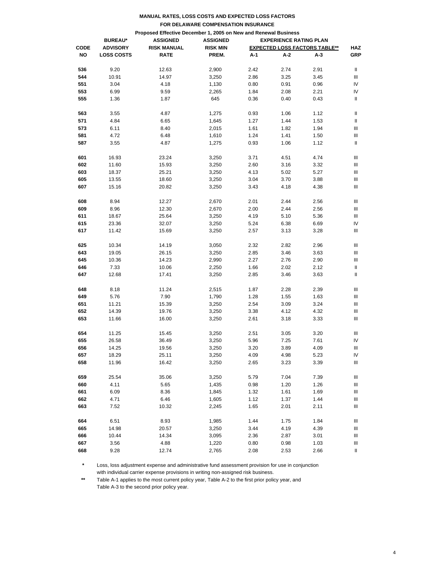|             |                                                                 | <b>MANUAL RATES, LOSS COSTS AND EXPECTED LOSS FACTORS</b> |                                                  |      |      |                                      |            |  |  |  |
|-------------|-----------------------------------------------------------------|-----------------------------------------------------------|--------------------------------------------------|------|------|--------------------------------------|------------|--|--|--|
|             |                                                                 | FOR DELAWARE COMPENSATION INSURANCE                       |                                                  |      |      |                                      |            |  |  |  |
|             | Proposed Effective December 1, 2005 on New and Renewal Business |                                                           |                                                  |      |      |                                      |            |  |  |  |
|             | <b>BUREAU*</b>                                                  | <b>ASSIGNED</b>                                           | <b>EXPERIENCE RATING PLAN</b><br><b>ASSIGNED</b> |      |      |                                      |            |  |  |  |
| <b>CODE</b> | <b>ADVISORY</b>                                                 | <b>RISK MANUAL</b>                                        | <b>RISK MIN</b>                                  |      |      | <b>EXPECTED LOSS FACTORS TABLE**</b> | <b>HAZ</b> |  |  |  |
| NΟ          | <b>LOSS COSTS</b>                                               | <b>RATE</b>                                               | PREM.                                            | A-1  | A-2  | A-3                                  | GRP        |  |  |  |
|             |                                                                 |                                                           |                                                  |      |      |                                      |            |  |  |  |
| 536         | 9.20                                                            | 12.63                                                     | 2,900                                            | 2.42 | 2.74 | 2.91                                 | Ш          |  |  |  |
| 544         | 10.91                                                           | 14.97                                                     | 3,250                                            | 2.86 | 3.25 | 3.45                                 | Ш          |  |  |  |
| 551         | 3.04                                                            | 4.18                                                      | 1,130                                            | 0.80 | 0.91 | 0.96                                 | IV         |  |  |  |
| 553         | 6.99                                                            | 9.59                                                      | 2,265                                            | 1.84 | 2.08 | 2.21                                 | IV         |  |  |  |
| 555         | 1.36                                                            | 1.87                                                      | 645                                              | 0.36 | 0.40 | 0.43                                 | Ш          |  |  |  |
|             |                                                                 |                                                           |                                                  |      |      |                                      |            |  |  |  |
| 563         | 3.55                                                            | 4.87                                                      | 1,275                                            | 0.93 | 1.06 | 1.12                                 | Ш          |  |  |  |
| 571         | 4.84                                                            | 6.65                                                      | 1,645                                            | 1.27 | 1.44 | 1.53                                 | Ш          |  |  |  |
| 573         | 6.11                                                            | 8.40                                                      | 2,015                                            | 1.61 | 1.82 | 1.94                                 | Ш          |  |  |  |
| 581         | 4.72                                                            | 6.48                                                      | 1,610                                            | 1.24 | 1.41 | 1.50                                 | Ш          |  |  |  |
| 587         | 3.55                                                            | 4.87                                                      | 1,275                                            | 0.93 | 1.06 | 1.12                                 | Ш          |  |  |  |
|             |                                                                 |                                                           |                                                  |      |      |                                      |            |  |  |  |
| 601         | 16.93                                                           | 23.24                                                     | 3,250                                            | 3.71 | 4.51 | 4.74                                 | Ш          |  |  |  |
| 602         | 11.60                                                           | 15.93                                                     | 3,250                                            | 2.60 | 3.16 | 3.32                                 | Ш          |  |  |  |
| 603         | 18.37                                                           | 25.21                                                     | 3,250                                            | 4.13 | 5.02 | 5.27                                 | Ш          |  |  |  |
| 605         | 13.55                                                           | 18.60                                                     | 3,250                                            | 3.04 | 3.70 | 3.88                                 | Ш          |  |  |  |
| 607         | 15.16                                                           | 20.82                                                     | 3,250                                            | 3.43 | 4.18 | 4.38                                 | Ш          |  |  |  |
|             |                                                                 |                                                           |                                                  |      |      |                                      |            |  |  |  |
| 608         | 8.94                                                            | 12.27                                                     | 2,670                                            | 2.01 | 2.44 | 2.56                                 | Ш          |  |  |  |
| 609         | 8.96                                                            | 12.30                                                     | 2,670                                            | 2.00 | 2.44 | 2.56                                 | Ш          |  |  |  |
| 611         | 18.67                                                           | 25.64                                                     | 3,250                                            | 4.19 | 5.10 | 5.36                                 | Ш          |  |  |  |
| 615         | 23.36                                                           | 32.07                                                     | 3,250                                            | 5.24 | 6.38 | 6.69                                 | IV         |  |  |  |
| 617         | 11.42                                                           | 15.69                                                     | 3,250                                            | 2.57 | 3.13 | 3.28                                 | Ш          |  |  |  |
|             |                                                                 |                                                           |                                                  |      |      |                                      |            |  |  |  |
| 625         | 10.34                                                           | 14.19                                                     | 3,050                                            | 2.32 | 2.82 | 2.96                                 | Ш          |  |  |  |
| 643         | 19.05                                                           | 26.15                                                     | 3,250                                            | 2.85 | 3.46 | 3.63                                 | Ш          |  |  |  |
| 645         | 10.36                                                           | 14.23                                                     | 2,990                                            | 2.27 | 2.76 | 2.90                                 | Ш          |  |  |  |
| 646         | 7.33                                                            | 10.06                                                     | 2,250                                            | 1.66 | 2.02 | 2.12                                 | Ш          |  |  |  |
| 647         | 12.68                                                           | 17.41                                                     | 3,250                                            | 2.85 | 3.46 | 3.63                                 | Ш          |  |  |  |
|             |                                                                 |                                                           |                                                  |      |      |                                      |            |  |  |  |
| 648         | 8.18                                                            | 11.24                                                     | 2,515                                            | 1.87 | 2.28 | 2.39                                 | Ш          |  |  |  |
| 649         | 5.76                                                            | 7.90                                                      | 1,790                                            | 1.28 | 1.55 | 1.63                                 | Ш          |  |  |  |
| 651         | 11.21                                                           | 15.39                                                     | 3,250                                            | 2.54 | 3.09 | 3.24                                 | Ш          |  |  |  |
| 652         | 14.39                                                           | 19.76                                                     | 3,250                                            | 3.38 | 4.12 | 4.32                                 | Ш          |  |  |  |
| 653         | 11.66                                                           | 16.00                                                     | 3,250                                            | 2.61 | 3.18 | 3.33                                 | Ш          |  |  |  |
|             |                                                                 |                                                           |                                                  |      |      |                                      |            |  |  |  |
| 654         | 11.25                                                           | 15.45                                                     | 3,250                                            | 2.51 | 3.05 | 3.20                                 | Ш          |  |  |  |
| 655         | 26.58                                                           | 36.49                                                     | 3,250                                            | 5.96 | 7.25 | 7.61                                 | IV         |  |  |  |
| 656         | 14.25                                                           | 19.56                                                     | 3,250                                            | 3.20 | 3.89 | 4.09                                 | Ш          |  |  |  |
| 657         | 18.29                                                           | 25.11                                                     | 3,250                                            | 4.09 | 4.98 | 5.23                                 | IV         |  |  |  |
| 658         | 11.96                                                           | 16.42                                                     | 3,250                                            | 2.65 | 3.23 | 3.39                                 | Ш          |  |  |  |
|             |                                                                 |                                                           |                                                  |      |      |                                      |            |  |  |  |
| 659         | 25.54                                                           | 35.06                                                     | 3,250                                            | 5.79 | 7.04 | 7.39                                 | Ш          |  |  |  |
| 660         | 4.11                                                            | 5.65                                                      | 1,435                                            | 0.98 | 1.20 | 1.26                                 | Ш          |  |  |  |
| 661         | 6.09                                                            | 8.36                                                      | 1,845                                            | 1.32 | 1.61 | 1.69                                 | Ш          |  |  |  |
| 662         | 4.71                                                            | 6.46                                                      | 1,605                                            | 1.12 | 1.37 | 1.44                                 | Ш          |  |  |  |
| 663         | 7.52                                                            | 10.32                                                     | 2,245                                            | 1.65 | 2.01 | 2.11                                 | Ш          |  |  |  |
|             |                                                                 |                                                           |                                                  |      |      |                                      |            |  |  |  |
| 664         | 6.51                                                            | 8.93                                                      | 1,985                                            | 1.44 | 1.75 | 1.84                                 | Ш          |  |  |  |
| 665         | 14.98                                                           | 20.57                                                     | 3,250                                            | 3.44 | 4.19 | 4.39                                 | Ш          |  |  |  |
| 666         | 10.44                                                           | 14.34                                                     | 3,095                                            | 2.36 | 2.87 | 3.01                                 | Ш          |  |  |  |
| 667         | 3.56                                                            | 4.88                                                      | 1,220                                            | 0.80 | 0.98 | 1.03                                 | Ш          |  |  |  |
| 668         | 9.28                                                            | 12.74                                                     | 2,765                                            | 2.08 | 2.53 | 2.66                                 | Ш          |  |  |  |
|             |                                                                 |                                                           |                                                  |      |      |                                      |            |  |  |  |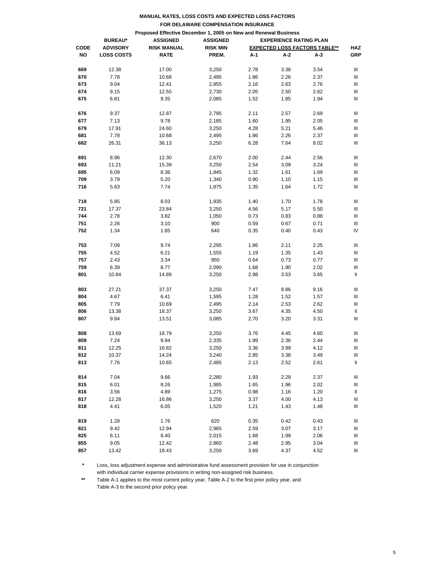|                                                                 |                   |                    | FOR DELAWARE COMPENSATION INSURANCE              |              |              |                                      |            |  |  |
|-----------------------------------------------------------------|-------------------|--------------------|--------------------------------------------------|--------------|--------------|--------------------------------------|------------|--|--|
| Proposed Effective December 1, 2005 on New and Renewal Business |                   |                    |                                                  |              |              |                                      |            |  |  |
|                                                                 | <b>BUREAU*</b>    | <b>ASSIGNED</b>    | <b>ASSIGNED</b><br><b>EXPERIENCE RATING PLAN</b> |              |              |                                      |            |  |  |
| <b>CODE</b>                                                     | <b>ADVISORY</b>   | <b>RISK MANUAL</b> | <b>RISK MIN</b>                                  |              |              | <b>EXPECTED LOSS FACTORS TABLE**</b> | <b>HAZ</b> |  |  |
| NO                                                              | <b>LOSS COSTS</b> | <b>RATE</b>        | PREM.                                            | A-1          | A-2          | A-3                                  | GRP        |  |  |
| 669                                                             | 12.38             | 17.00              | 3,250                                            | 2.78         | 3.38         | 3.54                                 | Ш          |  |  |
| 670                                                             | 7.78              | 10.68              | 2,495                                            | 1.86         | 2.26         |                                      | Ш          |  |  |
| 673                                                             | 9.04              |                    |                                                  |              |              | 2.37                                 | Ш          |  |  |
| 674                                                             | 9.15              | 12.41<br>12.55     | 2,855<br>2,730                                   | 2.16<br>2.05 | 2.63<br>2.50 | 2.76<br>2.62                         | Ш          |  |  |
|                                                                 |                   |                    |                                                  |              |              |                                      |            |  |  |
| 675                                                             | 6.81              | 9.35               | 2,085                                            | 1.52         | 1.85         | 1.94                                 | Ш          |  |  |
| 676                                                             | 9.37              | 12.87              | 2,795                                            | 2.11         | 2.57         | 2.69                                 | Ш          |  |  |
| 677                                                             | 7.13              | 9.78               | 2,185                                            | 1.60         | 1.95         | 2.05                                 | Ш          |  |  |
| 679                                                             | 17.91             | 24.60              | 3,250                                            | 4.28         | 5.21         | 5.46                                 | Ш          |  |  |
| 681                                                             | 7.78              | 10.68              | 2,495                                            | 1.86         | 2.26         | 2.37                                 | Ш          |  |  |
| 682                                                             | 26.31             | 36.13              | 3,250                                            | 6.28         | 7.64         | 8.02                                 | Ш          |  |  |
| 691                                                             | 8.96              | 12.30              | 2,670                                            | 2.00         | 2.44         | 2.56                                 | Ш          |  |  |
| 693                                                             | 11.21             | 15.39              | 3,250                                            | 2.54         | 3.09         | 3.24                                 | Ш          |  |  |
| 695                                                             | 6.09              | 8.36               | 1,845                                            | 1.32         | 1.61         | 1.69                                 | Ш          |  |  |
| 709                                                             | 3.79              | 5.20               | 1,340                                            | 0.90         | 1.10         | 1.15                                 | Ш          |  |  |
| 716                                                             | 5.63              | 7.74               | 1,875                                            | 1.35         | 1.64         | 1.72                                 | Ш          |  |  |
|                                                                 |                   |                    |                                                  |              |              |                                      |            |  |  |
| 718                                                             | 5.85              | 8.03               | 1,935                                            | 1.40         | 1.70         | 1.78                                 | Ш          |  |  |
| 721                                                             | 17.37             | 23.84              | 3,250                                            | 4.56         | 5.17         | 5.50                                 | Ш          |  |  |
| 744                                                             | 2.78              | 3.82               | 1,050                                            | 0.73         | 0.83         | 0.88                                 | Ш          |  |  |
| 751                                                             | 2.26              | 3.10               | 900                                              | 0.59         | 0.67         | 0.71                                 | Ш          |  |  |
| 752                                                             | 1.34              | 1.85               | 640                                              | 0.35         | 0.40         | 0.43                                 | IV         |  |  |
| 753                                                             | 7.09              | 9.74               | 2,295                                            | 1.86         | 2.11         | 2.25                                 | Ш          |  |  |
| 755                                                             | 4.52              | 6.21               | 1,555                                            | 1.19         | 1.35         | 1.43                                 | Ш          |  |  |
| 757                                                             | 2.43              | 3.34               | 950                                              | 0.64         | 0.73         | 0.77                                 | Ш          |  |  |
| 759                                                             | 6.39              | 8.77               | 2,090                                            | 1.68         | 1.90         | 2.02                                 | Ш          |  |  |
| 801                                                             | 10.84             | 14.89              | 3,250                                            | 2.98         | 3.53         | 3.65                                 | Ш          |  |  |
| 803                                                             | 27.21             | 37.37              | 3,250                                            | 7.47         | 8.86         | 9.16                                 | Ш          |  |  |
| 804                                                             | 4.67              | 6.41               | 1,595                                            | 1.28         | 1.52         | 1.57                                 | Ш          |  |  |
| 805                                                             | 7.79              | 10.69              | 2,495                                            | 2.14         | 2.53         | 2.62                                 | Ш          |  |  |
| 806                                                             | 13.38             | 18.37              | 3,250                                            | 3.67         | 4.35         | 4.50                                 | Ш          |  |  |
| 807                                                             | 9.84              | 13.51              | 3,085                                            | 2.70         | 3.20         | 3.31                                 | Ш          |  |  |
|                                                                 |                   |                    |                                                  |              |              |                                      |            |  |  |
| 808                                                             | 13.69             | 18.79              | 3,250                                            | 3.76         | 4.45         | 4.60                                 | Ш          |  |  |
| 809                                                             | 7.24              | 9.94               | 2,335                                            | 1.99         | 2.36         | 2.44                                 | Ш          |  |  |
| 811                                                             | 12.25             | 16.82              | 3,250                                            | 3.36         | 3.99         | 4.12                                 | Ш          |  |  |
| 812                                                             | 10.37             | 14.24              | 3,240                                            | 2.85         | 3.38         | 3.49                                 | Ш          |  |  |
| 813                                                             | 7.76              | 10.65              | 2,485                                            | 2.13         | 2.52         | 2.61                                 | Ш          |  |  |
|                                                                 |                   |                    |                                                  |              |              |                                      |            |  |  |
| 814<br>815                                                      | 7.04<br>6.01      | 9.66<br>8.26       | 2,280                                            | 1.93         | 2.29         | 2.37                                 | Ш          |  |  |
| 816                                                             | 3.56              | 4.89               | 1,985<br>1,275                                   | 1.65<br>0.98 | 1.96         | 2.02<br>1.20                         | Ш          |  |  |
| 817                                                             | 12.28             | 16.86              |                                                  |              | 1.16         | 4.13                                 | Ш          |  |  |
| 818                                                             | 4.41              | 6.05               | 3,250                                            | 3.37<br>1.21 | 4.00         | 1.48                                 | Ш<br>Ш     |  |  |
|                                                                 |                   |                    | 1,520                                            |              | 1.43         |                                      |            |  |  |
| 819                                                             | 1.28              | 1.76               | 620                                              | 0.35         | 0.42         | 0.43                                 | Ш          |  |  |
| 821                                                             | 9.42              | 12.94              | 2,965                                            | 2.59         | 3.07         | 3.17                                 | Ш          |  |  |
| 825                                                             | 6.11              | 8.40               | 2,015                                            | 1.68         | 1.99         | 2.06                                 | Ш          |  |  |
| 855                                                             | 9.05              | 12.42              | 2,860                                            | 2.48         | 2.95         | 3.04                                 | Ш          |  |  |
| 857                                                             | 13.42             | 18.43              | 3,250                                            | 3.69         | 4.37         | 4.52                                 | Ш          |  |  |

**\*** Loss, loss adjustment expense and administrative fund assessment provision for use in conjunction with individual carrier expense provisions in writing non-assigned risk business.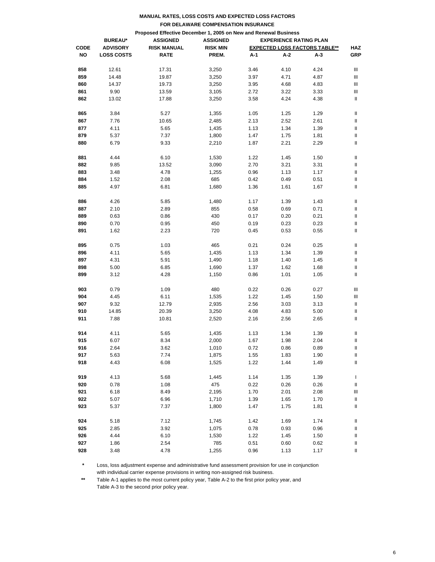|                                                                 |                   |                    | FOR DELAWARE COMPENSATION INSURANCE              |      |      |                                      |                |  |  |
|-----------------------------------------------------------------|-------------------|--------------------|--------------------------------------------------|------|------|--------------------------------------|----------------|--|--|
| Proposed Effective December 1, 2005 on New and Renewal Business |                   |                    |                                                  |      |      |                                      |                |  |  |
|                                                                 | <b>BUREAU*</b>    | <b>ASSIGNED</b>    | <b>ASSIGNED</b><br><b>EXPERIENCE RATING PLAN</b> |      |      |                                      |                |  |  |
| <b>CODE</b>                                                     | <b>ADVISORY</b>   | <b>RISK MANUAL</b> | <b>RISK MIN</b>                                  |      |      | <b>EXPECTED LOSS FACTORS TABLE**</b> | <b>HAZ</b>     |  |  |
| NO                                                              | <b>LOSS COSTS</b> | <b>RATE</b>        | PREM.                                            | A-1  | A-2  | A-3                                  | GRP            |  |  |
| 858                                                             | 12.61             | 17.31              | 3,250                                            | 3.46 | 4.10 | 4.24                                 | Ш              |  |  |
| 859                                                             | 14.48             | 19.87              | 3,250                                            | 3.97 | 4.71 | 4.87                                 | Ш              |  |  |
| 860                                                             | 14.37             | 19.73              | 3,250                                            | 3.95 | 4.68 | 4.83                                 | Ш              |  |  |
| 861                                                             | 9.90              | 13.59              | 3,105                                            | 2.72 | 3.22 | 3.33                                 | Ш              |  |  |
| 862                                                             | 13.02             | 17.88              | 3,250                                            | 3.58 | 4.24 | 4.38                                 | Ш              |  |  |
|                                                                 |                   |                    |                                                  |      |      |                                      |                |  |  |
| 865                                                             | 3.84              | 5.27               | 1,355                                            | 1.05 | 1.25 | 1.29                                 | Ш              |  |  |
| 867                                                             | 7.76              | 10.65              | 2,485                                            | 2.13 | 2.52 | 2.61                                 | Ш              |  |  |
| 877                                                             | 4.11              | 5.65               | 1,435                                            | 1.13 | 1.34 | 1.39                                 | Ш              |  |  |
| 879                                                             | 5.37              | 7.37               | 1,800                                            | 1.47 | 1.75 | 1.81                                 | Ш              |  |  |
| 880                                                             | 6.79              | 9.33               | 2,210                                            | 1.87 | 2.21 | 2.29                                 | II             |  |  |
| 881                                                             | 4.44              | 6.10               | 1,530                                            | 1.22 | 1.45 | 1.50                                 | Ш              |  |  |
| 882                                                             | 9.85              | 13.52              | 3,090                                            | 2.70 | 3.21 | 3.31                                 | Ш              |  |  |
| 883                                                             | 3.48              | 4.78               | 1,255                                            | 0.96 | 1.13 | 1.17                                 | Ш              |  |  |
| 884                                                             | 1.52              | 2.08               | 685                                              | 0.42 | 0.49 | 0.51                                 | II             |  |  |
| 885                                                             | 4.97              | 6.81               | 1,680                                            | 1.36 | 1.61 | 1.67                                 | Ш              |  |  |
|                                                                 |                   |                    |                                                  |      |      |                                      |                |  |  |
| 886                                                             | 4.26              | 5.85               | 1,480                                            | 1.17 | 1.39 | 1.43                                 | Ш              |  |  |
| 887                                                             | 2.10              | 2.89               | 855                                              | 0.58 | 0.69 | 0.71                                 | Ш              |  |  |
| 889                                                             | 0.63              | 0.86               | 430                                              | 0.17 | 0.20 | 0.21                                 | Ш              |  |  |
| 890                                                             | 0.70              | 0.95               | 450                                              | 0.19 | 0.23 | 0.23                                 | Ш              |  |  |
| 891                                                             | 1.62              | 2.23               | 720                                              | 0.45 | 0.53 | 0.55                                 | II             |  |  |
| 895                                                             | 0.75              | 1.03               | 465                                              | 0.21 | 0.24 | 0.25                                 | Ш              |  |  |
| 896                                                             | 4.11              | 5.65               | 1,435                                            | 1.13 | 1.34 | 1.39                                 | Ш              |  |  |
| 897                                                             | 4.31              | 5.91               | 1,490                                            | 1.18 | 1.40 | 1.45                                 | Ш              |  |  |
| 898                                                             | 5.00              | 6.85               | 1,690                                            | 1.37 | 1.62 | 1.68                                 | Ш              |  |  |
| 899                                                             | 3.12              | 4.28               | 1,150                                            | 0.86 | 1.01 | 1.05                                 | Ш              |  |  |
|                                                                 |                   |                    |                                                  |      |      |                                      |                |  |  |
| 903                                                             | 0.79              | 1.09               | 480                                              | 0.22 | 0.26 | 0.27                                 | Ш              |  |  |
| 904                                                             | 4.45              | 6.11               | 1,535                                            | 1.22 | 1.45 | 1.50                                 | Ш              |  |  |
| 907                                                             | 9.32              | 12.79              | 2,935                                            | 2.56 | 3.03 | 3.13                                 | Ш              |  |  |
| 910                                                             | 14.85             | 20.39              | 3,250                                            | 4.08 | 4.83 | 5.00                                 | Ш              |  |  |
| 911                                                             | 7.88              | 10.81              | 2,520                                            | 2.16 | 2.56 | 2.65                                 | Ш              |  |  |
| 914                                                             | 4.11              | 5.65               | 1,435                                            | 1.13 | 1.34 | 1.39                                 | II             |  |  |
|                                                                 | 6.07              |                    |                                                  |      |      |                                      |                |  |  |
| 915                                                             |                   | 8.34               | 2,000                                            | 1.67 | 1.98 | 2.04                                 | Ш              |  |  |
| 916                                                             | 2.64              | 3.62               | 1,010                                            | 0.72 | 0.86 | 0.89                                 | $\, \parallel$ |  |  |
| 917                                                             | 5.63              | 7.74               | 1,875                                            | 1.55 | 1.83 | 1.90                                 | Ш              |  |  |
| 918                                                             | 4.43              | 6.08               | 1,525                                            | 1.22 | 1.44 | 1.49                                 | Ш              |  |  |
| 919                                                             | 4.13              | 5.68               | 1,445                                            | 1.14 | 1.35 | 1.39                                 | L              |  |  |
| 920                                                             | 0.78              | 1.08               | 475                                              | 0.22 | 0.26 | 0.26                                 | Ш              |  |  |
| 921                                                             | 6.18              | 8.49               | 2,195                                            | 1.70 | 2.01 | 2.08                                 | Ш              |  |  |
| 922                                                             | 5.07              | 6.96               | 1,710                                            | 1.39 | 1.65 | 1.70                                 | Ш              |  |  |
| 923                                                             | 5.37              | 7.37               | 1,800                                            | 1.47 | 1.75 | 1.81                                 | Ш              |  |  |
| 924                                                             | 5.18              | 7.12               | 1,745                                            | 1.42 | 1.69 | 1.74                                 | Ш              |  |  |
|                                                                 |                   |                    |                                                  |      |      |                                      |                |  |  |
| 925                                                             | 2.85              | 3.92               | 1,075                                            | 0.78 | 0.93 | 0.96                                 | Ш              |  |  |
| 926                                                             | 4.44              | 6.10               | 1,530                                            | 1.22 | 1.45 | 1.50                                 | Ш              |  |  |
| 927                                                             | 1.86              | 2.54               | 785                                              | 0.51 | 0.60 | 0.62                                 | Ш              |  |  |
| 928                                                             | 3.48              | 4.78               | 1,255                                            | 0.96 | 1.13 | 1.17                                 | Ш              |  |  |

**\*** Loss, loss adjustment expense and administrative fund assessment provision for use in conjunction with individual carrier expense provisions in writing non-assigned risk business.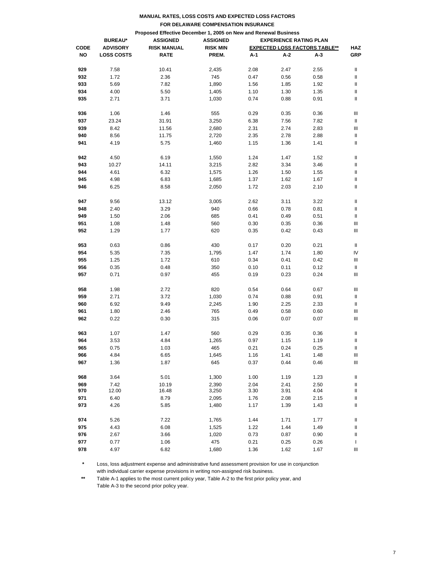|             |                                                                                                        | MANUAL RATES, LOSS COSTS AND EXPECTED LOSS FACTORS |                                                  |      |      |                                      |            |  |  |  |
|-------------|--------------------------------------------------------------------------------------------------------|----------------------------------------------------|--------------------------------------------------|------|------|--------------------------------------|------------|--|--|--|
|             | FOR DELAWARE COMPENSATION INSURANCE<br>Proposed Effective December 1, 2005 on New and Renewal Business |                                                    |                                                  |      |      |                                      |            |  |  |  |
|             |                                                                                                        |                                                    |                                                  |      |      |                                      |            |  |  |  |
|             | <b>BUREAU*</b>                                                                                         | <b>ASSIGNED</b>                                    | <b>EXPERIENCE RATING PLAN</b><br><b>ASSIGNED</b> |      |      |                                      |            |  |  |  |
| <b>CODE</b> | <b>ADVISORY</b>                                                                                        | <b>RISK MANUAL</b>                                 | <b>RISK MIN</b>                                  |      |      | <b>EXPECTED LOSS FACTORS TABLE**</b> | <b>HAZ</b> |  |  |  |
| NO          | <b>LOSS COSTS</b>                                                                                      | <b>RATE</b>                                        | PREM.                                            | A-1  | A-2  | А-3                                  | <b>GRP</b> |  |  |  |
|             |                                                                                                        |                                                    |                                                  |      |      |                                      |            |  |  |  |
| 929         | 7.58                                                                                                   | 10.41                                              | 2,435                                            | 2.08 | 2.47 | 2.55                                 | Ш          |  |  |  |
| 932         | 1.72                                                                                                   | 2.36                                               | 745                                              | 0.47 | 0.56 | 0.58                                 | Ш          |  |  |  |
| 933         | 5.69                                                                                                   | 7.82                                               | 1,890                                            | 1.56 | 1.85 | 1.92                                 | Ш          |  |  |  |
| 934         | 4.00                                                                                                   | 5.50                                               | 1,405                                            | 1.10 | 1.30 | 1.35                                 | Ш          |  |  |  |
| 935         | 2.71                                                                                                   | 3.71                                               | 1,030                                            | 0.74 | 0.88 | 0.91                                 | Ш          |  |  |  |
| 936         | 1.06                                                                                                   | 1.46                                               | 555                                              | 0.29 | 0.35 | 0.36                                 | Ш          |  |  |  |
| 937         | 23.24                                                                                                  | 31.91                                              | 3,250                                            | 6.38 | 7.56 | 7.82                                 | Ш          |  |  |  |
| 939         | 8.42                                                                                                   | 11.56                                              | 2,680                                            | 2.31 | 2.74 | 2.83                                 | Ш          |  |  |  |
| 940         | 8.56                                                                                                   | 11.75                                              | 2,720                                            | 2.35 | 2.78 | 2.88                                 | Ш          |  |  |  |
| 941         | 4.19                                                                                                   | 5.75                                               | 1,460                                            | 1.15 | 1.36 | 1.41                                 | Ш          |  |  |  |
| 942         | 4.50                                                                                                   | 6.19                                               | 1,550                                            | 1.24 | 1.47 | 1.52                                 | Ш          |  |  |  |
| 943         | 10.27                                                                                                  | 14.11                                              | 3,215                                            | 2.82 | 3.34 | 3.46                                 | Ш          |  |  |  |
| 944         | 4.61                                                                                                   | 6.32                                               | 1,575                                            | 1.26 | 1.50 | 1.55                                 | Ш          |  |  |  |
| 945         | 4.98                                                                                                   | 6.83                                               | 1,685                                            | 1.37 | 1.62 | 1.67                                 | Ш          |  |  |  |
| 946         | 6.25                                                                                                   | 8.58                                               | 2,050                                            | 1.72 | 2.03 | 2.10                                 | Ш          |  |  |  |
| 947         | 9.56                                                                                                   | 13.12                                              | 3,005                                            | 2.62 | 3.11 | 3.22                                 | Ш          |  |  |  |
| 948         | 2.40                                                                                                   | 3.29                                               | 940                                              | 0.66 | 0.78 | 0.81                                 | Ш          |  |  |  |
| 949         | 1.50                                                                                                   | 2.06                                               | 685                                              | 0.41 | 0.49 | 0.51                                 | Ш          |  |  |  |
| 951         | 1.08                                                                                                   | 1.48                                               | 560                                              | 0.30 | 0.35 | 0.36                                 | Ш          |  |  |  |
| 952         | 1.29                                                                                                   | 1.77                                               | 620                                              | 0.35 | 0.42 | 0.43                                 | Ш          |  |  |  |
| 953         | 0.63                                                                                                   | 0.86                                               | 430                                              | 0.17 | 0.20 | 0.21                                 | Ш          |  |  |  |
| 954         | 5.35                                                                                                   | 7.35                                               | 1,795                                            | 1.47 | 1.74 | 1.80                                 | IV         |  |  |  |
| 955         | 1.25                                                                                                   | 1.72                                               | 610                                              | 0.34 | 0.41 | 0.42                                 | Ш          |  |  |  |
| 956         | 0.35                                                                                                   | 0.48                                               | 350                                              | 0.10 | 0.11 | 0.12                                 | Ш          |  |  |  |
| 957         | 0.71                                                                                                   | 0.97                                               | 455                                              | 0.19 | 0.23 | 0.24                                 | Ш          |  |  |  |
| 958         | 1.98                                                                                                   | 2.72                                               | 820                                              | 0.54 | 0.64 | 0.67                                 | Ш          |  |  |  |
| 959         | 2.71                                                                                                   | 3.72                                               | 1,030                                            | 0.74 | 0.88 | 0.91                                 | Ш          |  |  |  |
| 960         | 6.92                                                                                                   | 9.49                                               | 2,245                                            | 1.90 | 2.25 | 2.33                                 | Ш          |  |  |  |
| 961         | 1.80                                                                                                   | 2.46                                               | 765                                              | 0.49 | 0.58 | 0.60                                 | Ш          |  |  |  |
| 962         | 0.22                                                                                                   | 0.30                                               | 315                                              | 0.06 | 0.07 | 0.07                                 | Ш          |  |  |  |
| 963         | 1.07                                                                                                   | 1.47                                               | 560                                              | 0.29 | 0.35 | 0.36                                 | $\sf II$   |  |  |  |
| 964         | 3.53                                                                                                   | 4.84                                               | 1,265                                            | 0.97 | 1.15 | 1.19                                 | Ш          |  |  |  |
| 965         | 0.75                                                                                                   | 1.03                                               | 465                                              | 0.21 | 0.24 | 0.25                                 | Ш          |  |  |  |
| 966         | 4.84                                                                                                   | 6.65                                               | 1,645                                            | 1.16 | 1.41 | 1.48                                 | Ш          |  |  |  |
| 967         | 1.36                                                                                                   | 1.87                                               | 645                                              | 0.37 | 0.44 | 0.46                                 | Ш          |  |  |  |
| 968         | 3.64                                                                                                   | 5.01                                               | 1,300                                            | 1.00 | 1.19 | 1.23                                 | Ш          |  |  |  |
| 969         | 7.42                                                                                                   | 10.19                                              | 2,390                                            | 2.04 | 2.41 | 2.50                                 | Ш          |  |  |  |
| 970         | 12.00                                                                                                  | 16.48                                              | 3,250                                            | 3.30 | 3.91 | 4.04                                 | Ш          |  |  |  |
| 971         | 6.40                                                                                                   | 8.79                                               | 2,095                                            | 1.76 | 2.08 | 2.15                                 | Ш          |  |  |  |
| 973         | 4.26                                                                                                   | 5.85                                               | 1,480                                            | 1.17 | 1.39 | 1.43                                 | Ш          |  |  |  |
| 974         | 5.26                                                                                                   | 7.22                                               | 1,765                                            | 1.44 | 1.71 | 1.77                                 | Ш          |  |  |  |
| 975         | 4.43                                                                                                   | 6.08                                               | 1,525                                            | 1.22 | 1.44 | 1.49                                 | Ш          |  |  |  |
| 976         | 2.67                                                                                                   | 3.66                                               | 1,020                                            | 0.73 | 0.87 | 0.90                                 | Ш          |  |  |  |
| 977         | 0.77                                                                                                   | 1.06                                               | 475                                              | 0.21 | 0.25 | 0.26                                 | L          |  |  |  |
| 978         | 4.97                                                                                                   | 6.82                                               | 1,680                                            | 1.36 | 1.62 | 1.67                                 | Ш          |  |  |  |